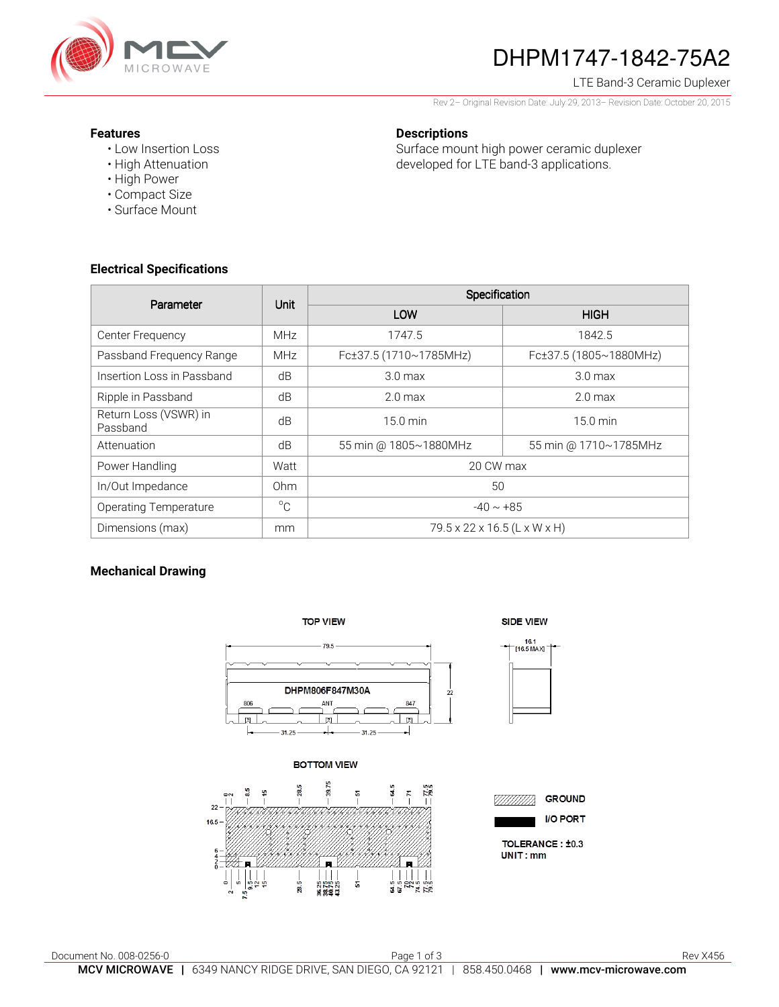

# DHPM1747-1842-75A2

LTE Band-3 Ceramic Duplexer

Rev 2– Original Revision Date: July 29, 2013– Revision Date: October 20, 2015

Surface mount high power ceramic duplexer developed for LTE band-3 applications.

#### **Features**

- Low Insertion Loss
- High Attenuation
- High Power
- Compact Size
- Surface Mount

## **Electrical Specifications**

| Parameter                         | Unit            | Specification                |                        |
|-----------------------------------|-----------------|------------------------------|------------------------|
|                                   |                 | LOW                          | <b>HIGH</b>            |
| Center Frequency                  | <b>MHz</b>      | 1747.5                       | 1842.5                 |
| Passband Frequency Range          | <b>MHz</b>      | Fc±37.5 (1710~1785MHz)       | Fc±37.5 (1805~1880MHz) |
| Insertion Loss in Passband        | dB              | 3.0 <sub>max</sub>           | 3.0 <sub>max</sub>     |
| Ripple in Passband                | dB              | 2.0 <sub>max</sub>           | 2.0 <sub>max</sub>     |
| Return Loss (VSWR) in<br>Passband | dB              | $15.0 \text{ min}$           | $15.0 \text{ min}$     |
| Attenuation                       | dB              | 55 min @ 1805~1880MHz        | 55 min @ 1710~1785MHz  |
| Power Handling                    | Watt            | 20 CW max                    |                        |
| In/Out Impedance                  | 0 <sub>hm</sub> | 50                           |                        |
| <b>Operating Temperature</b>      | $^{\circ}C$     | $-40 \sim +85$               |                        |
| Dimensions (max)                  | mm              | 79.5 x 22 x 16.5 (L x W x H) |                        |

**Descriptions** 

#### **Mechanical Drawing**



Document No. 008-0256-0 **Page 1 of 3** Page 1 of 3 Rev X456 MCV MICROWAVE | 6349 NANCY RIDGE DRIVE, SAN DIEGO, CA 92121 | 858.450.0468 | www.mcv-microwave.com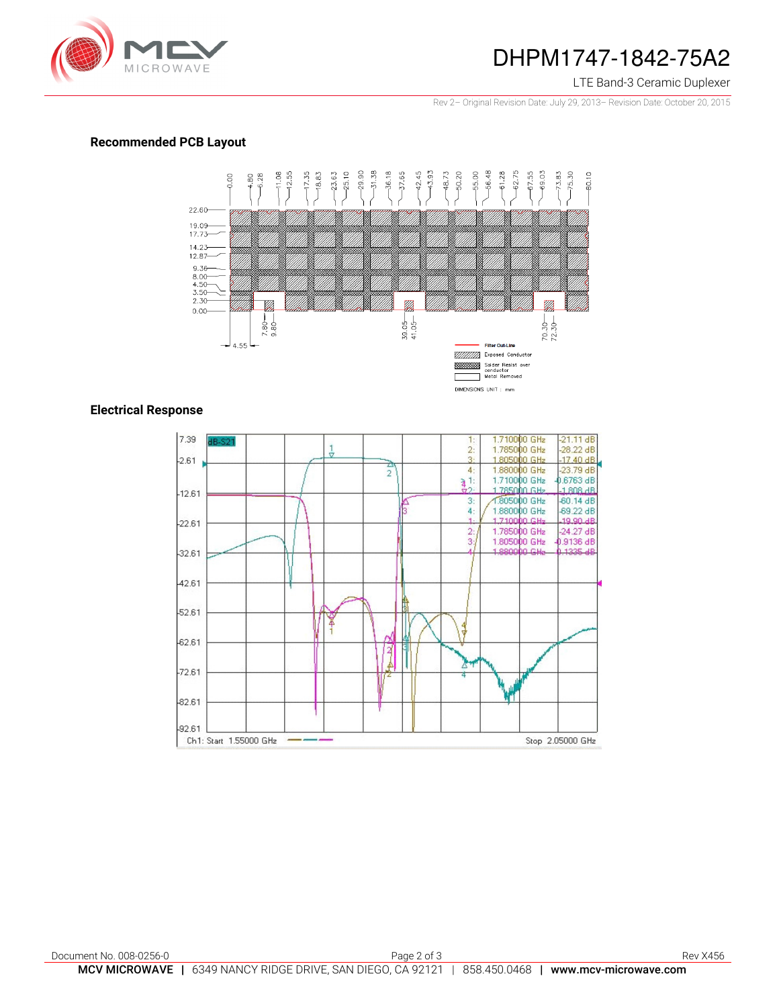

### DHPM1747-1842-75A2

#### LTE Band-3 Ceramic Duplexer

Rev 2– Original Revision Date: July 29, 2013– Revision Date: October 20, 2015

#### **Recommended PCB Layout**



#### **Electrical Response**